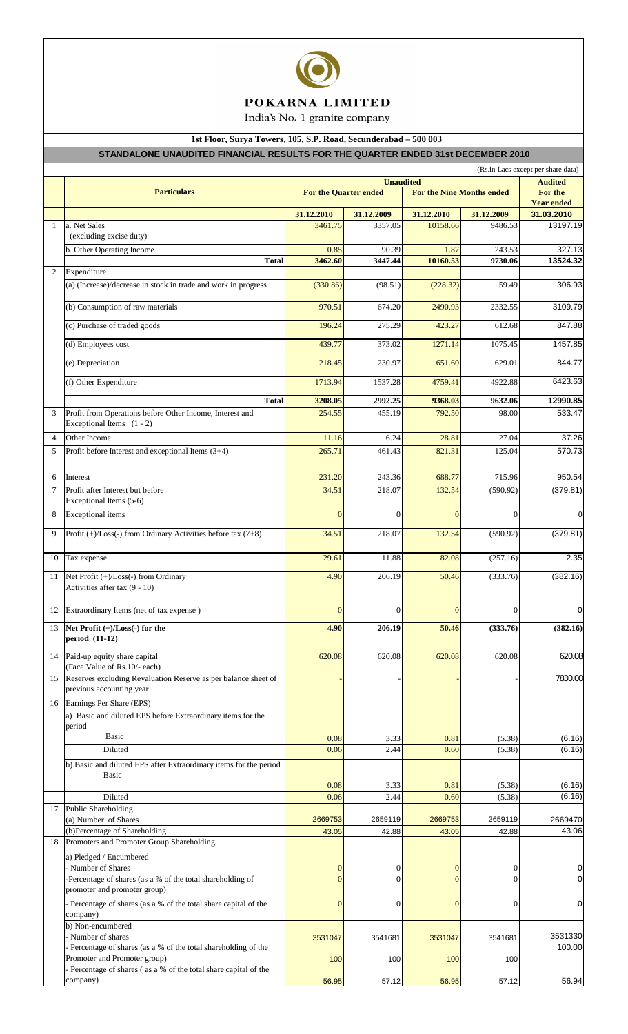

# POKARNA LIMITED

India's No. 1 granite company

## **1st Floor, Surya Towers, 105, S.P. Road, Secunderabad – 500 003**

## **STANDALONE UNAUDITED FINANCIAL RESULTS FOR THE QUARTER ENDED 31st DECEMBER 2010**

|                | (Rs.in Lacs except per share data)                                                                           |                              |                  |                                  |                  |                                 |  |  |  |  |
|----------------|--------------------------------------------------------------------------------------------------------------|------------------------------|------------------|----------------------------------|------------------|---------------------------------|--|--|--|--|
|                |                                                                                                              |                              | <b>Audited</b>   |                                  |                  |                                 |  |  |  |  |
|                | <b>Particulars</b>                                                                                           | <b>For the Quarter ended</b> |                  | <b>For the Nine Months ended</b> |                  | For the                         |  |  |  |  |
|                |                                                                                                              | 31.12.2010                   | 31.12.2009       | 31.12.2010                       | 31.12.2009       | <b>Year ended</b><br>31.03.2010 |  |  |  |  |
| 1              | a. Net Sales                                                                                                 | 3461.75                      | 3357.05          | 10158.66                         | 9486.53          | 13197.19                        |  |  |  |  |
|                | (excluding excise duty)                                                                                      |                              |                  |                                  |                  |                                 |  |  |  |  |
|                | b. Other Operating Income                                                                                    | 0.85                         | 90.39            | 1.87                             | 243.53           | 327.13                          |  |  |  |  |
| 2              | <b>Total</b><br>Expenditure                                                                                  | 3462.60                      | 3447.44          | 10160.53                         | 9730.06          | 13524.32                        |  |  |  |  |
|                | (a) (Increase)/decrease in stock in trade and work in progress                                               | (330.86)                     | (98.51)          | (228.32)                         | 59.49            | 306.93                          |  |  |  |  |
|                |                                                                                                              |                              |                  |                                  |                  |                                 |  |  |  |  |
|                | (b) Consumption of raw materials                                                                             | 970.51                       | 674.20           | 2490.93                          | 2332.55          | 3109.79                         |  |  |  |  |
|                | (c) Purchase of traded goods                                                                                 | 196.24                       | 275.29           | 423.27                           | 612.68           | 847.88                          |  |  |  |  |
|                | (d) Employees cost                                                                                           | 439.77                       | 373.02           | 1271.14                          | 1075.45          | 1457.85                         |  |  |  |  |
|                | (e) Depreciation                                                                                             | 218.45                       | 230.97           | 651.60                           | 629.01           | 844.77                          |  |  |  |  |
|                | (f) Other Expenditure                                                                                        | 1713.94                      | 1537.28          | 4759.41                          | 4922.88          | 6423.63                         |  |  |  |  |
|                | <b>Total</b>                                                                                                 | 3208.05                      | 2992.25          | 9368.03                          | 9632.06          | 12990.85                        |  |  |  |  |
| 3              | Profit from Operations before Other Income, Interest and                                                     | 254.55                       | 455.19           | 792.50                           | 98.00            | 533.47                          |  |  |  |  |
|                | Exceptional Items $(1 - 2)$                                                                                  |                              |                  |                                  |                  |                                 |  |  |  |  |
| $\overline{4}$ | Other Income                                                                                                 | 11.16                        | 6.24             | 28.81                            | 27.04            | 37.26                           |  |  |  |  |
| 5              | Profit before Interest and exceptional Items (3+4)                                                           | 265.71                       | 461.43           | 821.31                           | 125.04           | 570.73                          |  |  |  |  |
| 6              | Interest                                                                                                     | 231.20                       | 243.36           | 688.77                           | 715.96           | 950.54                          |  |  |  |  |
| $\overline{7}$ | Profit after Interest but before                                                                             | 34.51                        | 218.07           | 132.54                           | (590.92)         | (379.81)                        |  |  |  |  |
|                | Exceptional Items (5-6)                                                                                      |                              |                  |                                  |                  |                                 |  |  |  |  |
| 8              | <b>Exceptional</b> items                                                                                     | $\overline{0}$               | $\overline{0}$   | $\Omega$                         | $\Omega$         | $\mathbf{0}$                    |  |  |  |  |
| 9              | Profit (+)/Loss(-) from Ordinary Activities before tax (7+8)                                                 | 34.51                        | 218.07           | 132.54                           | (590.92)         | (379.81)                        |  |  |  |  |
| 10             | Tax expense                                                                                                  | 29.61                        | 11.88            | 82.08                            | (257.16)         | 2.35                            |  |  |  |  |
| 11             | Net Profit (+)/Loss(-) from Ordinary<br>Activities after tax (9 - 10)                                        | 4.90                         | 206.19           | 50.46                            | (333.76)         | (382.16)                        |  |  |  |  |
| 12             | Extraordinary Items (net of tax expense)                                                                     | $\mathbf{0}$                 | $\boldsymbol{0}$ | $\mathbf{0}$                     | $\boldsymbol{0}$ | $\overline{0}$                  |  |  |  |  |
| 13             | Net Profit (+)/Loss(-) for the<br>period (11-12)                                                             | 4.90                         | 206.19           | 50.46                            | (333.76)         | (382.16)                        |  |  |  |  |
| 14             | Paid-up equity share capital<br>(Face Value of Rs.10/- each)                                                 | 620.08                       | 620.08           | 620.08                           | 620.08           | 620.08                          |  |  |  |  |
| 15             | Reserves excluding Revaluation Reserve as per balance sheet of<br>previous accounting year                   |                              |                  |                                  |                  | 7830.00                         |  |  |  |  |
| 16             | Earnings Per Share (EPS)                                                                                     |                              |                  |                                  |                  |                                 |  |  |  |  |
|                | a) Basic and diluted EPS before Extraordinary items for the<br>period                                        |                              |                  |                                  |                  |                                 |  |  |  |  |
|                | Basic                                                                                                        | 0.08                         | 3.33             | 0.81                             | (5.38)           | (6.16)                          |  |  |  |  |
|                | Diluted                                                                                                      | 0.06                         | 2.44             | 0.60                             | (5.38)           | (6.16)                          |  |  |  |  |
|                | b) Basic and diluted EPS after Extraordinary items for the period                                            |                              |                  |                                  |                  |                                 |  |  |  |  |
|                | <b>Basic</b>                                                                                                 |                              |                  |                                  |                  |                                 |  |  |  |  |
|                | Diluted                                                                                                      | 0.08<br>0.06                 | 3.33<br>2.44     | 0.81<br>0.60                     | (5.38)<br>(5.38) | (6.16)<br>(6.16)                |  |  |  |  |
| 17             | <b>Public Shareholding</b>                                                                                   |                              |                  |                                  |                  |                                 |  |  |  |  |
|                | (a) Number of Shares                                                                                         | 2669753                      | 2659119          | 2669753                          | 2659119          | 2669470                         |  |  |  |  |
| 18             | (b)Percentage of Shareholding<br>Promoters and Promoter Group Shareholding                                   | 43.05                        | 42.88            | 43.05                            | 42.88            | 43.06                           |  |  |  |  |
|                | a) Pledged / Encumbered                                                                                      |                              |                  |                                  |                  |                                 |  |  |  |  |
|                | - Number of Shares                                                                                           | 0                            | 0                | $\mathbf{0}$                     | $\mathbf{0}$     | $\pmb{0}$                       |  |  |  |  |
|                | -Percentage of shares (as a % of the total shareholding of                                                   | 0                            | 0                | $\Omega$                         | 0                | $\pmb{0}$                       |  |  |  |  |
|                | promoter and promoter group)<br>- Percentage of shares (as a % of the total share capital of the<br>company) | $\theta$                     | 0                | $\mathbf{0}$                     | $\overline{0}$   | $\pmb{0}$                       |  |  |  |  |
|                | b) Non-encumbered                                                                                            |                              |                  |                                  |                  |                                 |  |  |  |  |
|                | - Number of shares<br>- Percentage of shares (as a % of the total shareholding of the                        | 3531047                      | 3541681          | 3531047                          | 3541681          | 3531330<br>100.00               |  |  |  |  |
|                | Promoter and Promoter group)                                                                                 | 100                          | 100              | 100                              | 100              |                                 |  |  |  |  |
|                | - Percentage of shares (as a % of the total share capital of the                                             |                              |                  |                                  |                  |                                 |  |  |  |  |
|                | company)                                                                                                     | 56.95                        | 57.12            | 56.95                            | 57.12            | 56.94                           |  |  |  |  |